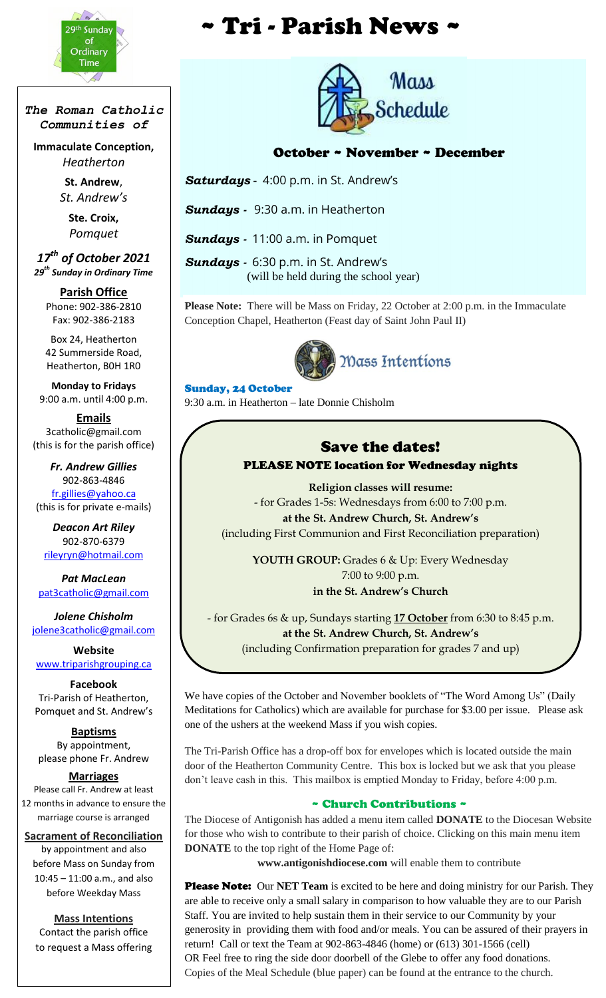

*The Roman Catholic Communities of*

**Immaculate Conception,** *Heatherton*

> **St. Andrew**, *St. Andrew's*

> > **Ste. Croix,** *Pomquet*

*17th of October 2021 29th Sunday in Ordinary Time*

**Parish Office** Phone: 902-386-2810 Fax: 902-386-2183

Box 24, Heatherton 42 Summerside Road, Heatherton, B0H 1R0

**Monday to Fridays** 9:00 a.m. until 4:00 p.m.

**Emails** 3catholic@gmail.com (this is for the parish office)

*Fr. Andrew Gillies* 902-863-4846 [fr.gillies@yahoo.ca](mailto:fr.gillies@yahoo.ca) (this is for private e-mails)

*Deacon Art Riley* 902-870-6379 [rileyryn@hotmail.com](mailto:rileyryn@hotmail.com)

*Pat MacLean* [pat3catholic@gmail.com](mailto:rileyryn@hotmail.com)

*Jolene Chisholm* [jolene3catholic@gmail.com](mailto:jolene3catholic@gmail.com)

**Website** [www.triparishgrouping.ca](http://www.triparishgrouping.ca/)

**Facebook** Tri-Parish of Heatherton, Pomquet and St. Andrew's

**Baptisms** By appointment, please phone Fr. Andrew

**Marriages**

Please call Fr. Andrew at least 12 months in advance to ensure the marriage course is arranged

**Sacrament of Reconciliation** by appointment and also before Mass on Sunday from 10:45 – 11:00 a.m., and also before Weekday Mass

**Mass Intentions** Contact the parish office to request a Mass offering

# **\*\*\*** *\** Tri - Parish News \*



## October ~ November ~ December

*Saturdays* - 4:00 p.m. in St. Andrew's

*Sundays -* 9:30 a.m. in Heatherton

*Sundays -* 11:00 a.m. in Pomquet

*Sundays -* 6:30 p.m. in St. Andrew's (will be held during the school year)

**Please Note:** There will be Mass on Friday, 22 October at 2:00 p.m. in the Immaculate Conception Chapel, Heatherton (Feast day of Saint John Paul II)



#### Sunday, 24 October

9:30 a.m. in Heatherton – late Donnie Chisholm

#### Save the dates! PLEASE NOTE location for Wednesday nights

**Religion classes will resume:** - for Grades 1-5s: Wednesdays from 6:00 to 7:00 p.m. **at the St. Andrew Church, St. Andrew's** (including First Communion and First Reconciliation preparation)

**YOUTH GROUP:** Grades 6 & Up: Every Wednesday 7:00 to 9:00 p.m. **in the St. Andrew's Church**

- for Grades 6s & up, Sundays starting **17 October** from 6:30 to 8:45 p.m. **at the St. Andrew Church, St. Andrew's** (including Confirmation preparation for grades 7 and up)

We have copies of the October and November booklets of "The Word Among Us" (Daily Meditations for Catholics) which are available for purchase for \$3.00 per issue. Please ask one of the ushers at the weekend Mass if you wish copies.

The Tri-Parish Office has a drop-off box for envelopes which is located outside the main door of the Heatherton Community Centre. This box is locked but we ask that you please don't leave cash in this. This mailbox is emptied Monday to Friday, before 4:00 p.m.

#### ~ Church Contributions ~

The Diocese of Antigonish has added a menu item called **DONATE** to the Diocesan Website for those who wish to contribute to their parish of choice. Clicking on this main menu item **DONATE** to the top right of the Home Page of:

**www.antigonishdiocese.com** will enable them to contribute

**Please Note:** Our **NET Team** is excited to be here and doing ministry for our Parish. They are able to receive only a small salary in comparison to how valuable they are to our Parish Staff. You are invited to help sustain them in their service to our Community by your generosity in providing them with food and/or meals. You can be assured of their prayers in return! Call or text the Team at 902-863-4846 (home) or (613) 301-1566 (cell) OR Feel free to ring the side door doorbell of the Glebe to offer any food donations. Copies of the Meal Schedule (blue paper) can be found at the entrance to the church.